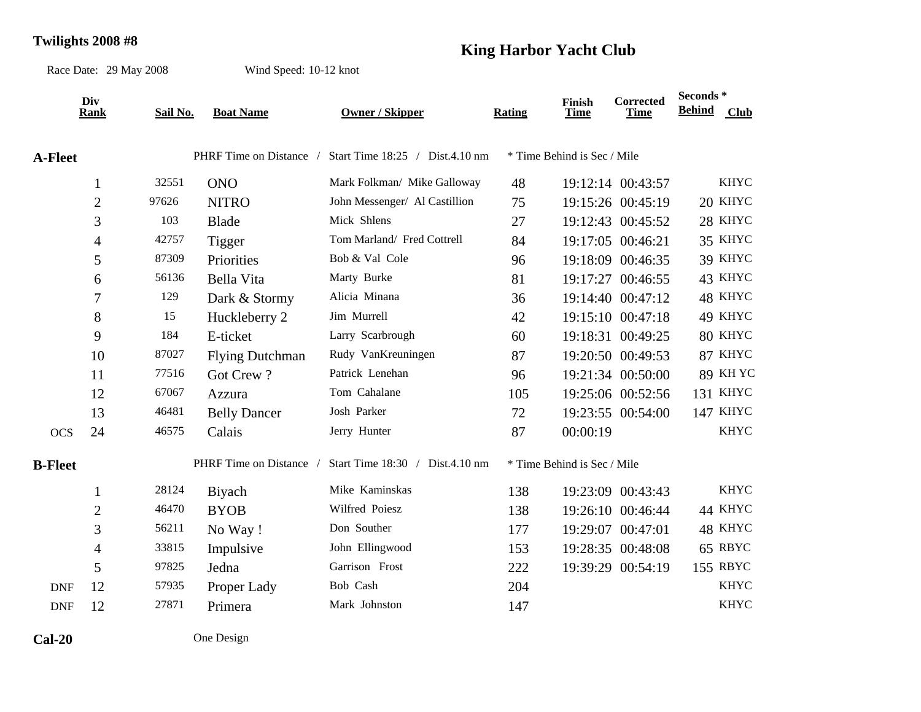## **Twilights 2008 #8 King Harbor Yacht Club**

Race Date: 29 May 2008

Wind Speed: 10-12 knot

|                | Div<br>Rank      | Sail No. | <b>Boat Name</b>        | <b>Owner / Skipper</b>          | <b>Rating</b> | Finish<br>Time              | <b>Corrected</b><br><b>Time</b> | Seconds*<br><b>Behind</b> | <b>Club</b>     |
|----------------|------------------|----------|-------------------------|---------------------------------|---------------|-----------------------------|---------------------------------|---------------------------|-----------------|
|                |                  |          |                         |                                 |               |                             |                                 |                           |                 |
| <b>A-Fleet</b> |                  |          | PHRF Time on Distance / | Start Time 18:25 / Dist.4.10 nm |               | * Time Behind is Sec / Mile |                                 |                           |                 |
|                | $\mathbf{1}$     | 32551    | <b>ONO</b>              | Mark Folkman/ Mike Galloway     | 48            |                             | 19:12:14 00:43:57               |                           | <b>KHYC</b>     |
|                | $\overline{2}$   | 97626    | <b>NITRO</b>            | John Messenger/ Al Castillion   | 75            |                             | 19:15:26 00:45:19               |                           | 20 KHYC         |
|                | 3                | 103      | Blade                   | Mick Shlens                     | 27            |                             | 19:12:43 00:45:52               |                           | 28 KHYC         |
|                | 4                | 42757    | Tigger                  | Tom Marland/ Fred Cottrell      | 84            |                             | 19:17:05 00:46:21               |                           | 35 KHYC         |
|                | 5                | 87309    | Priorities              | Bob & Val Cole                  | 96            |                             | 19:18:09 00:46:35               |                           | 39 KHYC         |
|                | 6                | 56136    | Bella Vita              | Marty Burke                     | 81            |                             | 19:17:27 00:46:55               |                           | 43 KHYC         |
|                | $\boldsymbol{7}$ | 129      | Dark & Stormy           | Alicia Minana                   | 36            |                             | 19:14:40 00:47:12               |                           | 48 KHYC         |
|                | 8                | 15       | Huckleberry 2           | Jim Murrell                     | 42            |                             | 19:15:10 00:47:18               |                           | 49 KHYC         |
|                | 9                | 184      | E-ticket                | Larry Scarbrough                | 60            |                             | 19:18:31 00:49:25               |                           | 80 KHYC         |
|                | 10               | 87027    | <b>Flying Dutchman</b>  | Rudy VanKreuningen              | 87            |                             | 19:20:50 00:49:53               |                           | 87 KHYC         |
|                | 11               | 77516    | Got Crew?               | Patrick Lenehan                 | 96            |                             | 19:21:34 00:50:00               |                           | <b>89 KH YC</b> |
|                | 12               | 67067    | Azzura                  | Tom Cahalane                    | 105           |                             | 19:25:06 00:52:56               |                           | <b>131 KHYC</b> |
|                | 13               | 46481    | <b>Belly Dancer</b>     | Josh Parker                     | 72            |                             | 19:23:55 00:54:00               |                           | 147 KHYC        |
| <b>OCS</b>     | 24               | 46575    | Calais                  | Jerry Hunter                    | 87            | 00:00:19                    |                                 |                           | <b>KHYC</b>     |
| <b>B-Fleet</b> |                  |          | PHRF Time on Distance   | Start Time 18:30 / Dist.4.10 nm |               | * Time Behind is Sec / Mile |                                 |                           |                 |
|                | $\mathbf{1}$     | 28124    | Biyach                  | Mike Kaminskas                  | 138           |                             | 19:23:09 00:43:43               |                           | <b>KHYC</b>     |
|                | $\mathfrak{2}$   | 46470    | <b>BYOB</b>             | Wilfred Poiesz                  | 138           |                             | 19:26:10 00:46:44               |                           | 44 KHYC         |
|                | 3                | 56211    | No Way!                 | Don Souther                     | 177           |                             | 19:29:07 00:47:01               |                           | 48 KHYC         |
|                | $\overline{4}$   | 33815    | Impulsive               | John Ellingwood                 | 153           |                             | 19:28:35 00:48:08               |                           | 65 RBYC         |
|                | 5                | 97825    | Jedna                   | Garrison Frost                  | 222           |                             | 19:39:29 00:54:19               |                           | 155 RBYC        |
| <b>DNF</b>     | 12               | 57935    | Proper Lady             | Bob Cash                        | 204           |                             |                                 |                           | <b>KHYC</b>     |
| <b>DNF</b>     | 12               | 27871    | Primera                 | Mark Johnston                   | 147           |                             |                                 |                           | <b>KHYC</b>     |
| $Cal-20$       |                  |          | One Design              |                                 |               |                             |                                 |                           |                 |